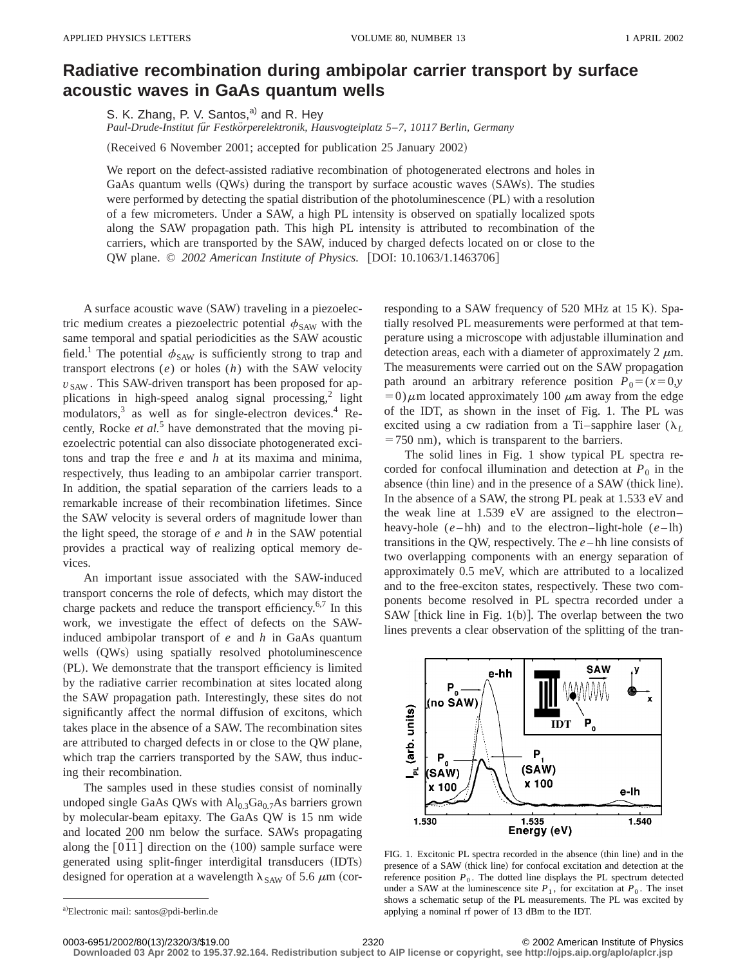## **Radiative recombination during ambipolar carrier transport by surface acoustic waves in GaAs quantum wells**

S. K. Zhang, P. V. Santos,<sup>a)</sup> and R. Hey

*Paul-Drude-Institut fu¨r Festko¨rperelektronik, Hausvogteiplatz 5*–*7, 10117 Berlin, Germany*

(Received 6 November 2001; accepted for publication 25 January 2002)

We report on the defect-assisted radiative recombination of photogenerated electrons and holes in GaAs quantum wells (QWs) during the transport by surface acoustic waves (SAWs). The studies were performed by detecting the spatial distribution of the photoluminescence (PL) with a resolution of a few micrometers. Under a SAW, a high PL intensity is observed on spatially localized spots along the SAW propagation path. This high PL intensity is attributed to recombination of the carriers, which are transported by the SAW, induced by charged defects located on or close to the QW plane. © 2002 American Institute of Physics. [DOI: 10.1063/1.1463706]

A surface acoustic wave (SAW) traveling in a piezoelectric medium creates a piezoelectric potential  $\phi_{\text{SAW}}$  with the same temporal and spatial periodicities as the SAW acoustic field.<sup>1</sup> The potential  $\phi_{SAW}$  is sufficiently strong to trap and transport electrons (*e*) or holes (*h*) with the SAW velocity  $v_{\text{SAW}}$ . This SAW-driven transport has been proposed for applications in high-speed analog signal processing,<sup>2</sup> light modulators,<sup>3</sup> as well as for single-electron devices.<sup>4</sup> Recently, Rocke *et al.*<sup>5</sup> have demonstrated that the moving piezoelectric potential can also dissociate photogenerated excitons and trap the free *e* and *h* at its maxima and minima, respectively, thus leading to an ambipolar carrier transport. In addition, the spatial separation of the carriers leads to a remarkable increase of their recombination lifetimes. Since the SAW velocity is several orders of magnitude lower than the light speed, the storage of *e* and *h* in the SAW potential provides a practical way of realizing optical memory devices.

An important issue associated with the SAW-induced transport concerns the role of defects, which may distort the charge packets and reduce the transport efficiency.<sup>6,7</sup> In this work, we investigate the effect of defects on the SAWinduced ambipolar transport of *e* and *h* in GaAs quantum wells (QWs) using spatially resolved photoluminescence (PL). We demonstrate that the transport efficiency is limited by the radiative carrier recombination at sites located along the SAW propagation path. Interestingly, these sites do not significantly affect the normal diffusion of excitons, which takes place in the absence of a SAW. The recombination sites are attributed to charged defects in or close to the QW plane, which trap the carriers transported by the SAW, thus inducing their recombination.

The samples used in these studies consist of nominally undoped single GaAs QWs with  $Al<sub>0.3</sub>Ga<sub>0.7</sub>As barriers grown$ by molecular-beam epitaxy. The GaAs QW is 15 nm wide and located 200 nm below the surface. SAWs propagating along the  $\lceil 0\overline{1}1 \rceil$  direction on the (100) sample surface were generated using split-finger interdigital transducers (IDTs) designed for operation at a wavelength  $\lambda_{SAW}$  of 5.6  $\mu$ m (corresponding to a SAW frequency of 520 MHz at 15 K). Spatially resolved PL measurements were performed at that temperature using a microscope with adjustable illumination and detection areas, each with a diameter of approximately  $2 \mu m$ . The measurements were carried out on the SAW propagation path around an arbitrary reference position  $P_0 = (x=0, y)$  $=0$ )  $\mu$ m located approximately 100  $\mu$ m away from the edge of the IDT, as shown in the inset of Fig. 1. The PL was excited using a cw radiation from a Ti–sapphire laser  $(\lambda_L)$  $=750$  nm), which is transparent to the barriers.

The solid lines in Fig. 1 show typical PL spectra recorded for confocal illumination and detection at  $P_0$  in the absence (thin line) and in the presence of a SAW (thick line). In the absence of a SAW, the strong PL peak at 1.533 eV and the weak line at 1.539 eV are assigned to the electron– heavy-hole  $(e - hh)$  and to the electron–light-hole  $(e - lh)$ transitions in the QW, respectively. The *e* – hh line consists of two overlapping components with an energy separation of approximately 0.5 meV, which are attributed to a localized and to the free-exciton states, respectively. These two components become resolved in PL spectra recorded under a SAW [thick line in Fig.  $1(b)$ ]. The overlap between the two lines prevents a clear observation of the splitting of the tran-



FIG. 1. Excitonic PL spectra recorded in the absence (thin line) and in the presence of a SAW (thick line) for confocal excitation and detection at the reference position  $P_0$ . The dotted line displays the PL spectrum detected under a SAW at the luminescence site  $P_1$ , for excitation at  $P_0$ . The inset shows a schematic setup of the PL measurements. The PL was excited by applying a nominal rf power of 13 dBm to the IDT.

**Downloaded 03 Apr 2002 to 195.37.92.164. Redistribution subject to AIP license or copyright, see http://ojps.aip.org/aplo/aplcr.jsp**

a)Electronic mail: santos@pdi-berlin.de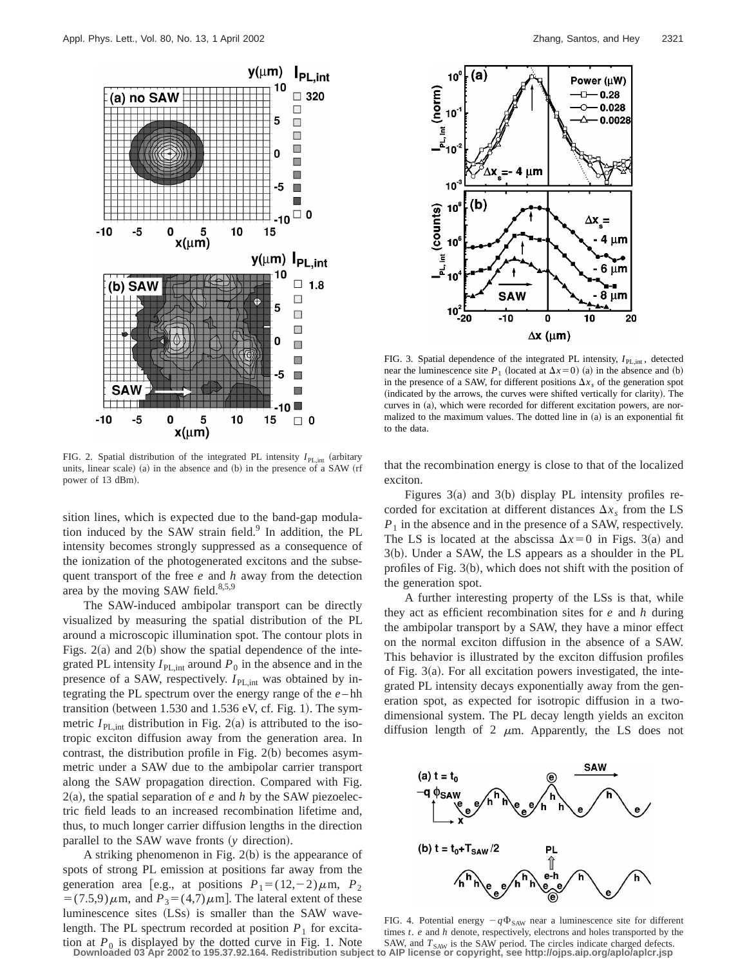

FIG. 2. Spatial distribution of the integrated PL intensity  $I_{PL,int}$  (arbitary units, linear scale)  $(a)$  in the absence and  $(b)$  in the presence of a SAW  $(rf)$ power of 13 dBm).

sition lines, which is expected due to the band-gap modulation induced by the SAW strain field. $9$  In addition, the PL intensity becomes strongly suppressed as a consequence of the ionization of the photogenerated excitons and the subsequent transport of the free *e* and *h* away from the detection area by the moving SAW field. $8,5,9$ 

The SAW-induced ambipolar transport can be directly visualized by measuring the spatial distribution of the PL around a microscopic illumination spot. The contour plots in Figs.  $2(a)$  and  $2(b)$  show the spatial dependence of the integrated PL intensity  $I_{\text{PL-int}}$  around  $P_0$  in the absence and in the presence of a SAW, respectively.  $I_{PL,int}$  was obtained by integrating the PL spectrum over the energy range of the *e* – hh transition (between  $1.530$  and  $1.536$  eV, cf. Fig. 1). The symmetric  $I_{PL,int}$  distribution in Fig. 2(a) is attributed to the isotropic exciton diffusion away from the generation area. In contrast, the distribution profile in Fig.  $2(b)$  becomes asymmetric under a SAW due to the ambipolar carrier transport along the SAW propagation direction. Compared with Fig.  $2(a)$ , the spatial separation of *e* and *h* by the SAW piezoelectric field leads to an increased recombination lifetime and, thus, to much longer carrier diffusion lengths in the direction parallel to the SAW wave fronts (*y* direction).

A striking phenomenon in Fig.  $2(b)$  is the appearance of spots of strong PL emission at positions far away from the generation area [e.g., at positions  $P_1 = (12, -2)\mu$ m,  $P_2$  $=$  (7.5,9) $\mu$ m, and *P*<sub>3</sub> = (4,7) $\mu$ m]. The lateral extent of these luminescence sites  $(LSs)$  is smaller than the SAW wavelength. The PL spectrum recorded at position  $P_1$  for excitation at  $P_0$  is displayed by the dotted curve in Fig. 1. Note



FIG. 3. Spatial dependence of the integrated PL intensity,  $I_{\text{PL,int}}$ , detected near the luminescence site  $P_1$  (located at  $\Delta x=0$ ) (a) in the absence and (b) in the presence of a SAW, for different positions  $\Delta x_s$  of the generation spot (indicated by the arrows, the curves were shifted vertically for clarity). The curves in (a), which were recorded for different excitation powers, are normalized to the maximum values. The dotted line in  $(a)$  is an exponential fit to the data.

that the recombination energy is close to that of the localized exciton.

Figures  $3(a)$  and  $3(b)$  display PL intensity profiles recorded for excitation at different distances  $\Delta x_s$  from the LS  $P_1$  in the absence and in the presence of a SAW, respectively. The LS is located at the abscissa  $\Delta x=0$  in Figs. 3(a) and  $3(b)$ . Under a SAW, the LS appears as a shoulder in the PL profiles of Fig.  $3(b)$ , which does not shift with the position of the generation spot.

A further interesting property of the LSs is that, while they act as efficient recombination sites for *e* and *h* during the ambipolar transport by a SAW, they have a minor effect on the normal exciton diffusion in the absence of a SAW. This behavior is illustrated by the exciton diffusion profiles of Fig.  $3(a)$ . For all excitation powers investigated, the integrated PL intensity decays exponentially away from the generation spot, as expected for isotropic diffusion in a twodimensional system. The PL decay length yields an exciton diffusion length of 2  $\mu$ m. Apparently, the LS does not



FIG. 4. Potential energy  $-q\Phi_{SAW}$  near a luminescence site for different times *t*. *e* and *h* denote, respectively, electrons and holes transported by the SAW, and  $T_{SAW}$  is the SAW period. The circles indicate charged defects. **Downloaded 03 Apr 2002 to 195.37.92.164. Redistribution subject to AIP license or copyright, see http://ojps.aip.org/aplo/aplcr.jsp**